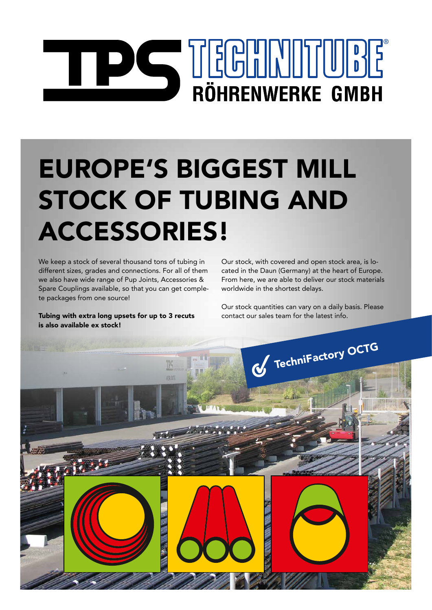# RÖHRENWERKE GMBH

## EUROPE'S BIGGEST MILL STOCK OF TUBING AND ACCESSORIES!

We keep a stock of several thousand tons of tubing in different sizes, grades and connections. For all of them we also have wide range of Pup Joints, Accessories & Spare Couplings available, so that you can get complete packages from one source!

Tubing with extra long upsets for up to 3 recuts is also available ex stock!

Our stock, with covered and open stock area, is located in the Daun (Germany) at the heart of Europe. From here, we are able to deliver our stock materials worldwide in the shortest delays.

Our stock quantities can vary on a daily basis. Please contact our sales team for the latest info.